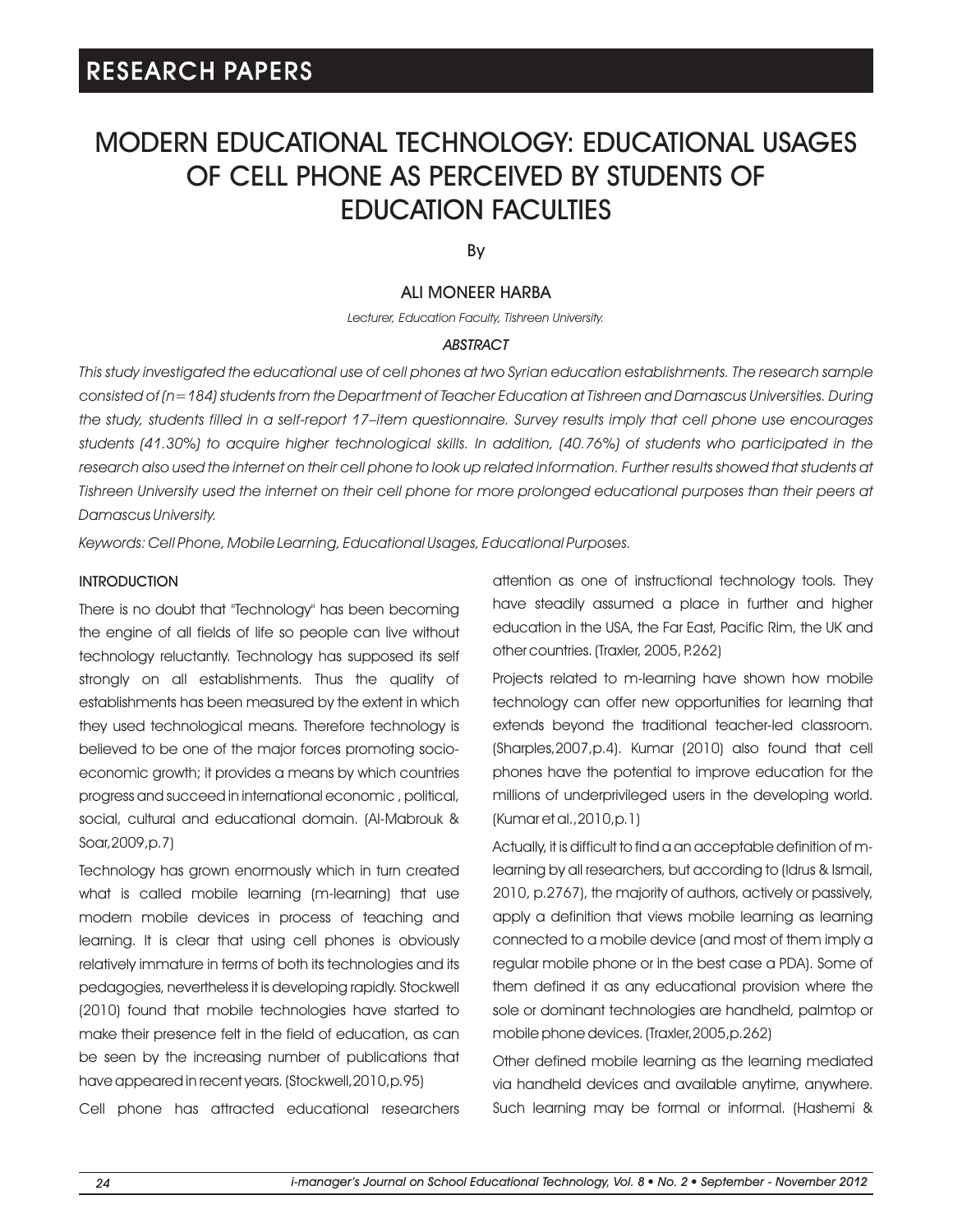# MODERN EDUCATIONAL TECHNOLOGY: EDUCATIONAL USAGES OF CELL PHONE AS PERCEIVED BY STUDENTS OF EDUCATION FACULTIES

By

## ALI MONEER HARBA

*Lecturer, Education Faculty, Tishreen University.*

## *ABSTRACT*

*This study investigated the educational use of cell phones at two Syrian education establishments. The research sample consisted of (n=184) students from the Department of Teacher Education at Tishreen and Damascus Universities. During the study, students filled in a self-report 17–item questionnaire. Survey results imply that cell phone use encourages students (41.30%) to acquire higher technological skills. In addition, (40.76%) of students who participated in the*  research also used the internet on their cell phone to look up related information. Further results showed that students at *Tishreen University used the internet on their cell phone for more prolonged educational purposes than their peers at Damascus University.* 

*Keywords: Cell Phone, Mobile Learning, Educational Usages, Educational Purposes.*

## **INTRODUCTION**

There is no doubt that "Technology" has been becoming the engine of all fields of life so people can live without technology reluctantly. Technology has supposed its self strongly on all establishments. Thus the quality of establishments has been measured by the extent in which they used technological means. Therefore technology is believed to be one of the major forces promoting socioeconomic growth; it provides a means by which countries progress and succeed in international economic , political, social, cultural and educational domain. (Al-Mabrouk & Soar,2009,p.7)

Technology has grown enormously which in turn created what is called mobile learning (m-learning) that use modern mobile devices in process of teaching and learning. It is clear that using cell phones is obviously relatively immature in terms of both its technologies and its pedagogies, nevertheless it is developing rapidly. Stockwell (2010) found that mobile technologies have started to make their presence felt in the field of education, as can be seen by the increasing number of publications that have appeared in recent years. (Stockwell,2010,p.95)

Cell phone has attracted educational researchers

attention as one of instructional technology tools. They have steadily assumed a place in further and higher education in the USA, the Far East, Pacific Rim, the UK and other countries. (Traxler, 2005, P.262)

Projects related to m-learning have shown how mobile technology can offer new opportunities for learning that extends beyond the traditional teacher-led classroom. (Sharples,2007,p.4). Kumar (2010) also found that cell phones have the potential to improve education for the millions of underprivileged users in the developing world. (Kumar et al.,2010,p.1)

Actually, it is difficult to find a an acceptable definition of mlearning by all researchers, but according to (Idrus & Ismail, 2010, p.2767), the majority of authors, actively or passively, apply a definition that views mobile learning as learning connected to a mobile device (and most of them imply a regular mobile phone or in the best case a PDA). Some of them defined it as any educational provision where the sole or dominant technologies are handheld, palmtop or mobile phone devices. (Traxler,2005,p.262)

Other defined mobile learning as the learning mediated via handheld devices and available anytime, anywhere. Such learning may be formal or informal. (Hashemi &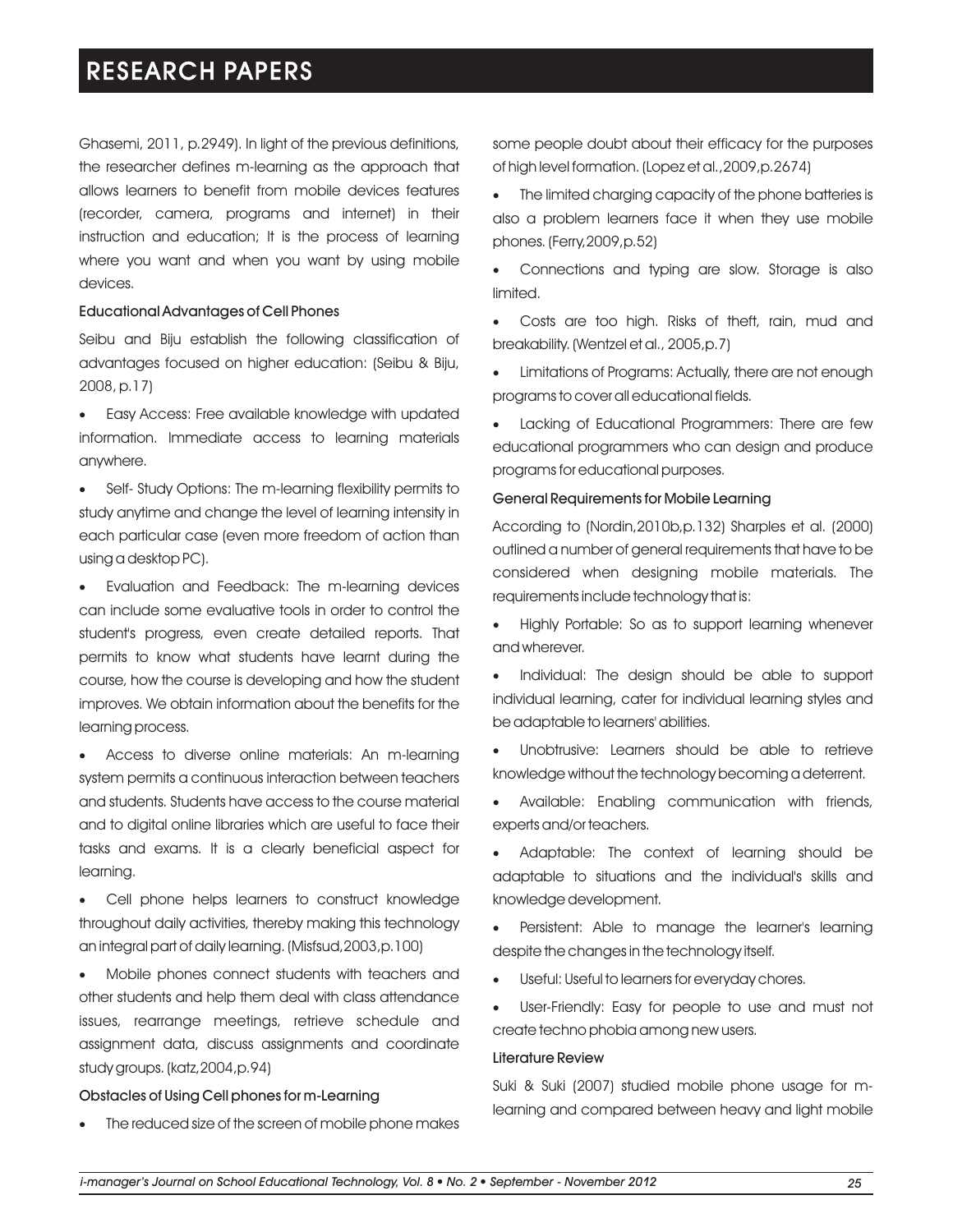Ghasemi, 2011, p.2949). In light of the previous definitions, the researcher defines m-learning as the approach that allows learners to benefit from mobile devices features (recorder, camera, programs and internet) in their instruction and education; It is the process of learning where you want and when you want by using mobile devices.

## Educational Advantages of Cell Phones

Seibu and Biju establish the following classification of advantages focused on higher education: (Seibu & Biju, 2008, p.17)

·Easy Access: Free available knowledge with updated information. Immediate access to learning materials anywhere.

• Self- Study Options: The m-learning flexibility permits to study anytime and change the level of learning intensity in each particular case (even more freedom of action than using a desktop PC).

·Evaluation and Feedback: The m-learning devices can include some evaluative tools in order to control the student's progress, even create detailed reports. That permits to know what students have learnt during the course, how the course is developing and how the student improves. We obtain information about the benefits for the learning process.

·Access to diverse online materials: An m-learning system permits a continuous interaction between teachers and students. Students have access to the course material and to digital online libraries which are useful to face their tasks and exams. It is a clearly beneficial aspect for learning.

·Cell phone helps learners to construct knowledge throughout daily activities, thereby making this technology an integral part of daily learning. (Misfsud,2003,p.100)

·Mobile phones connect students with teachers and other students and help them deal with class attendance issues, rearrange meetings, retrieve schedule and assignment data, discuss assignments and coordinate study groups. (katz,2004,p.94)

### Obstacles of Using Cell phones for m-Learning

The reduced size of the screen of mobile phone makes

some people doubt about their efficacy for the purposes of high level formation. (Lopez et al.,2009,p.2674)

The limited charging capacity of the phone batteries is also a problem learners face it when they use mobile phones. (Ferry,2009,p.52)

Connections and typing are slow. Storage is also limited.

Costs are too high. Risks of theft, rain, mud and breakability. (Wentzel et al., 2005,p.7)

Limitations of Programs: Actually, there are not enough programs to cover all educational fields.

Lacking of Educational Programmers: There are few educational programmers who can design and produce programs for educational purposes.

### General Requirements for Mobile Learning

According to (Nordin,2010b,p.132) Sharples et al. (2000) outlined a number of general requirements that have to be considered when designing mobile materials. The requirements include technology that is:

·Highly Portable: So as to support learning whenever and wherever.

·Individual: The design should be able to support individual learning, cater for individual learning styles and be adaptable to learners' abilities.

·Unobtrusive: Learners should be able to retrieve knowledge without the technology becoming a deterrent.

·Available: Enabling communication with friends, experts and/or teachers.

·Adaptable: The context of learning should be adaptable to situations and the individual's skills and knowledge development.

Persistent: Able to manage the learner's learning despite the changes in the technology itself.

Useful: Useful to learners for everyday chores.

User-Friendly: Easy for people to use and must not create techno phobia among new users.

### Literature Review

Suki & Suki (2007) studied mobile phone usage for mlearning and compared between heavy and light mobile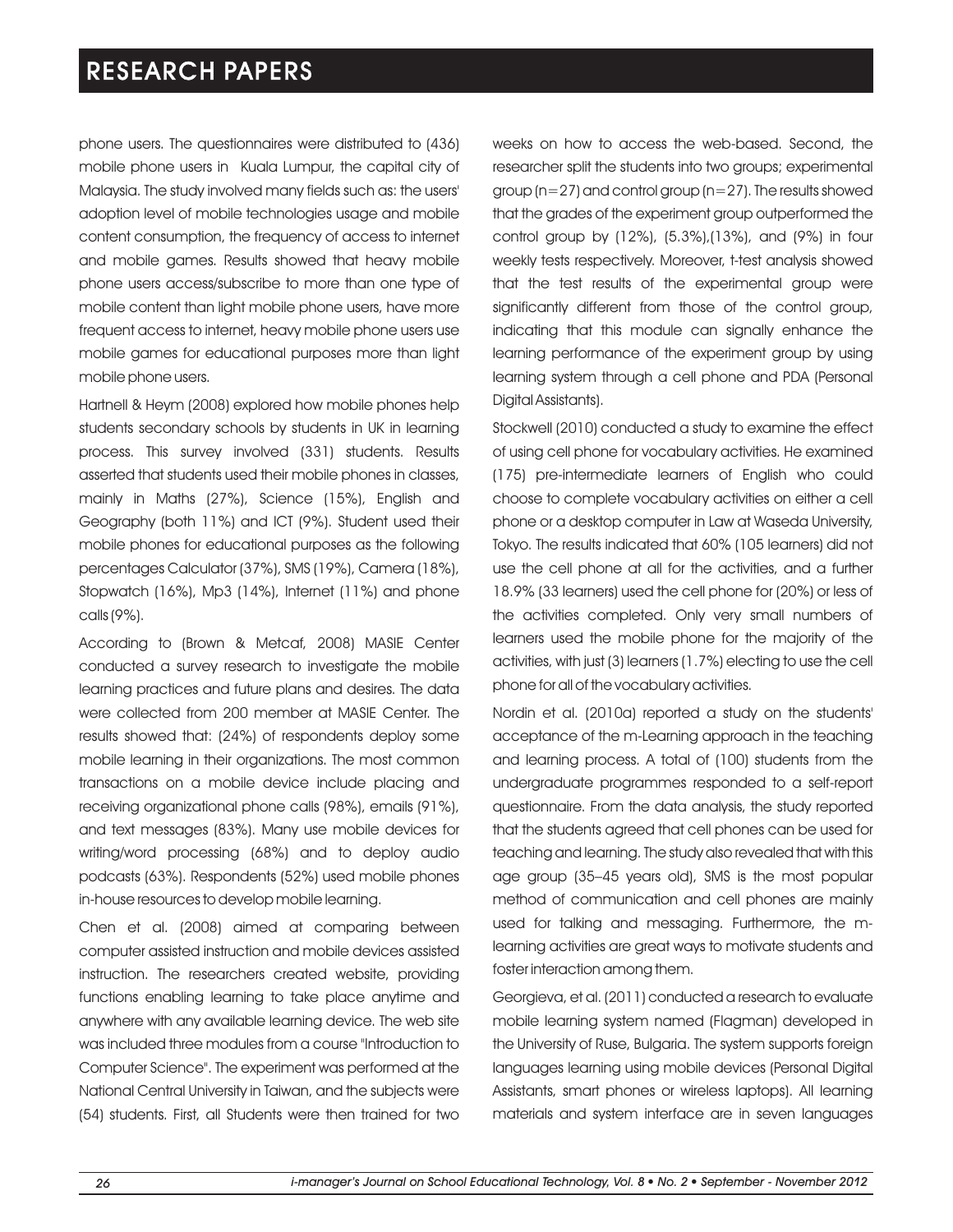phone users. The questionnaires were distributed to (436) mobile phone users in Kuala Lumpur, the capital city of Malaysia. The study involved many fields such as: the users' adoption level of mobile technologies usage and mobile content consumption, the frequency of access to internet and mobile games. Results showed that heavy mobile phone users access/subscribe to more than one type of mobile content than light mobile phone users, have more frequent access to internet, heavy mobile phone users use mobile games for educational purposes more than light mobile phone users.

Hartnell & Heym (2008) explored how mobile phones help students secondary schools by students in UK in learning process. This survey involved (331) students. Results asserted that students used their mobile phones in classes, mainly in Maths (27%), Science (15%), English and Geography (both 11%) and ICT (9%). Student used their mobile phones for educational purposes as the following percentages Calculator (37%), SMS (19%), Camera (18%), Stopwatch (16%), Mp3 (14%), Internet (11%) and phone calls (9%).

According to (Brown & Metcaf, 2008) MASIE Center conducted a survey research to investigate the mobile learning practices and future plans and desires. The data were collected from 200 member at MASIE Center. The results showed that: (24%) of respondents deploy some mobile learning in their organizations. The most common transactions on a mobile device include placing and receiving organizational phone calls (98%), emails (91%), and text messages (83%). Many use mobile devices for writing/word processing (68%) and to deploy audio podcasts (63%). Respondents (52%) used mobile phones in-house resources to develop mobile learning.

Chen et al. (2008) aimed at comparing between computer assisted instruction and mobile devices assisted instruction. The researchers created website, providing functions enabling learning to take place anytime and anywhere with any available learning device. The web site was included three modules from a course "Introduction to Computer Science". The experiment was performed at the National Central University in Taiwan, and the subjects were (54) students. First, all Students were then trained for two weeks on how to access the web-based. Second, the researcher split the students into two groups; experimental group (n=27) and control group (n=27). The results showed that the grades of the experiment group outperformed the control group by (12%), (5.3%),(13%), and (9%) in four weekly tests respectively. Moreover, t-test analysis showed that the test results of the experimental group were significantly different from those of the control group, indicating that this module can signally enhance the learning performance of the experiment group by using learning system through a cell phone and PDA (Personal Digital Assistants).

Stockwell (2010) conducted a study to examine the effect of using cell phone for vocabulary activities. He examined (175) pre-intermediate learners of English who could choose to complete vocabulary activities on either a cell phone or a desktop computer in Law at Waseda University, Tokyo. The results indicated that 60% (105 learners) did not use the cell phone at all for the activities, and a further 18.9% (33 learners) used the cell phone for (20%) or less of the activities completed. Only very small numbers of learners used the mobile phone for the majority of the activities, with just (3) learners (1.7%) electing to use the cell phone for all of the vocabulary activities.

Nordin et al. (2010a) reported a study on the students' acceptance of the m-Learning approach in the teaching and learning process. A total of (100) students from the undergraduate programmes responded to a self-report questionnaire. From the data analysis, the study reported that the students agreed that cell phones can be used for teaching and learning. The study also revealed that with this age group (35–45 years old), SMS is the most popular method of communication and cell phones are mainly used for talking and messaging. Furthermore, the mlearning activities are great ways to motivate students and foster interaction among them.

Georgieva, et al. (2011) conducted a research to evaluate mobile learning system named (Flagman) developed in the University of Ruse, Bulgaria. The system supports foreign languages learning using mobile devices (Personal Digital Assistants, smart phones or wireless laptops). All learning materials and system interface are in seven languages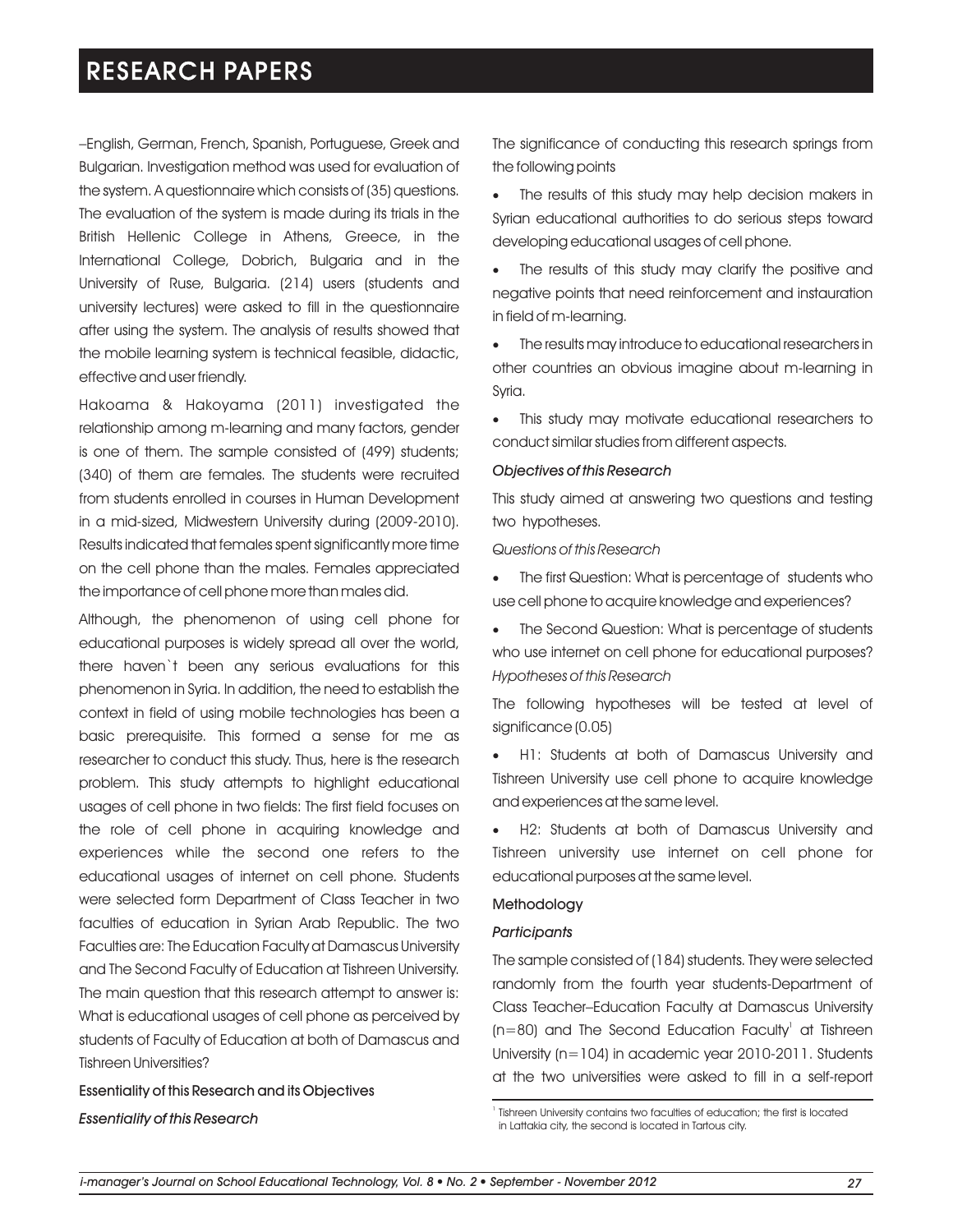–English, German, French, Spanish, Portuguese, Greek and Bulgarian. Investigation method was used for evaluation of the system. A questionnaire which consists of (35) questions. The evaluation of the system is made during its trials in the British Hellenic College in Athens, Greece, in the International College, Dobrich, Bulgaria and in the University of Ruse, Bulgaria. (214) users (students and university lectures) were asked to fill in the questionnaire after using the system. The analysis of results showed that the mobile learning system is technical feasible, didactic, effective and user friendly.

Hakoama & Hakoyama (2011) investigated the relationship among m-learning and many factors, gender is one of them. The sample consisted of (499) students; (340) of them are females. The students were recruited from students enrolled in courses in Human Development in a mid-sized, Midwestern University during (2009-2010). Results indicated that females spent significantly more time on the cell phone than the males. Females appreciated the importance of cell phone more than males did.

Although, the phenomenon of using cell phone for educational purposes is widely spread all over the world, there haven`t been any serious evaluations for this phenomenon in Syria. In addition, the need to establish the context in field of using mobile technologies has been a basic prerequisite. This formed a sense for me as researcher to conduct this study. Thus, here is the research problem. This study attempts to highlight educational usages of cell phone in two fields: The first field focuses on the role of cell phone in acquiring knowledge and experiences while the second one refers to the educational usages of internet on cell phone. Students were selected form Department of Class Teacher in two faculties of education in Syrian Arab Republic. The two Faculties are: The Education Faculty at Damascus University and The Second Faculty of Education at Tishreen University. The main question that this research attempt to answer is: What is educational usages of cell phone as perceived by students of Faculty of Education at both of Damascus and Tishreen Universities?

Essentiality of this Research and its Objectives *Essentiality of this Research* 

The significance of conducting this research springs from the following points

The results of this study may help decision makers in Syrian educational authorities to do serious steps toward developing educational usages of cell phone.

The results of this study may clarify the positive and negative points that need reinforcement and instauration in field of m-learning.

·The results may introduce to educational researchers in other countries an obvious imagine about m-learning in Syria.

·This study may motivate educational researchers to conduct similar studies from different aspects.

### *Objectives of this Research*

This study aimed at answering two questions and testing two hypotheses.

*Questions of this Research*

- ·The first Question: What is percentage of students who use cell phone to acquire knowledge and experiences?
- The Second Question: What is percentage of students who use internet on cell phone for educational purposes? *Hypotheses of this Research*

The following hypotheses will be tested at level of significance (0.05)

·H1: Students at both of Damascus University and Tishreen University use cell phone to acquire knowledge and experiences at the same level.

·H2: Students at both of Damascus University and Tishreen university use internet on cell phone for educational purposes at the same level.

### Methodology

#### *Participants*

The sample consisted of (184) students. They were selected randomly from the fourth year students-Department of Class Teacher–Education Faculty at Damascus University ( $n=80$ ) and The Second Education Faculty' at Tishreen University (n=104) in academic year 2010-2011. Students at the two universities were asked to fill in a self-report

<sup>&</sup>lt;sup>1</sup> Tishreen University contains two faculties of education; the first is located in Lattakia city, the second is located in Tartous city.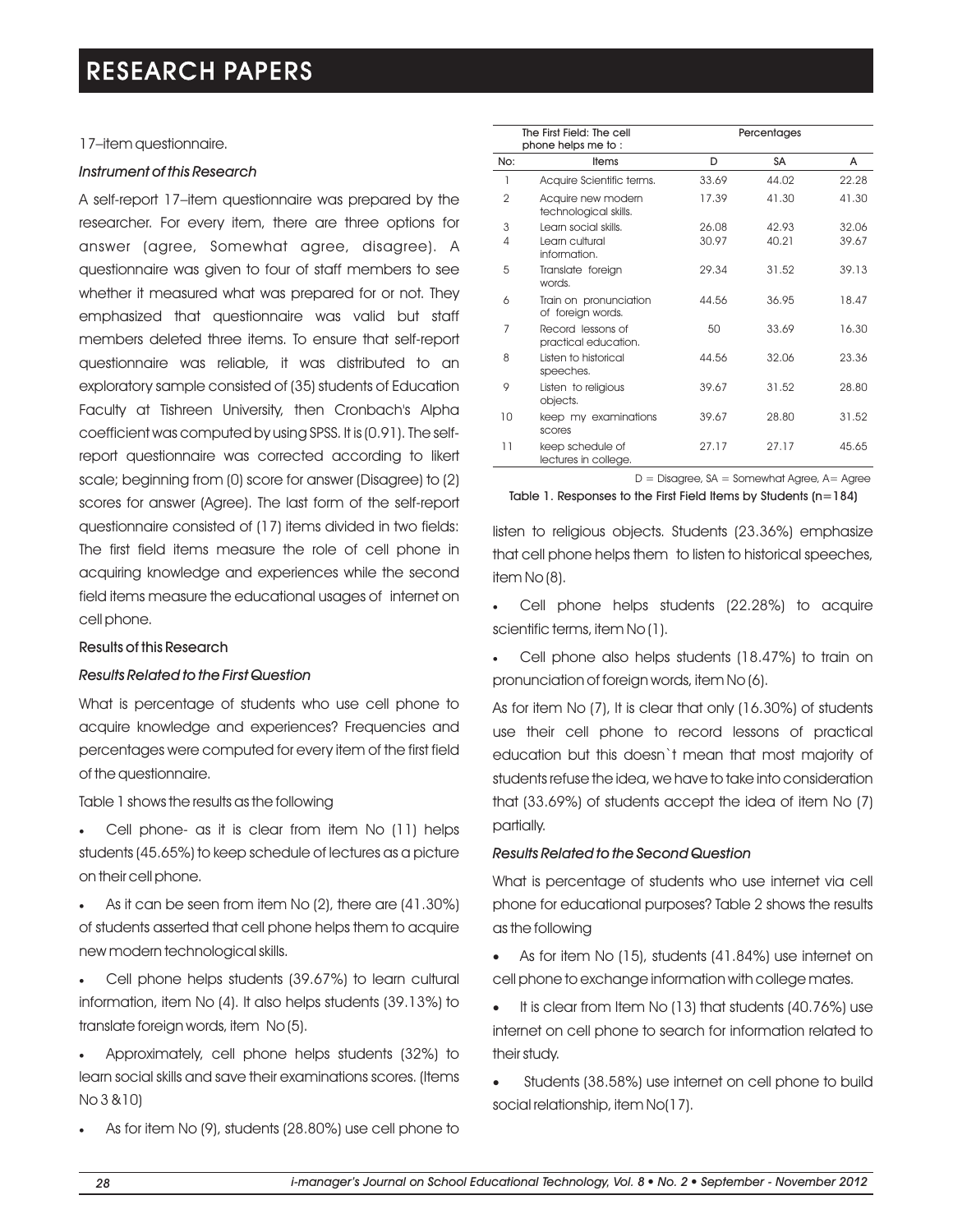## 17–item questionnaire.

## *Instrument of this Research*

A self-report 17–item questionnaire was prepared by the researcher. For every item, there are three options for answer (agree, Somewhat agree, disagree). A questionnaire was given to four of staff members to see whether it measured what was prepared for or not. They emphasized that questionnaire was valid but staff members deleted three items. To ensure that self-report questionnaire was reliable, it was distributed to an exploratory sample consisted of (35) students of Education Faculty at Tishreen University, then Cronbach's Alpha coefficient was computed by using SPSS. It is (0.91). The selfreport questionnaire was corrected according to likert scale; beginning from (0) score for answer (Disagree) to (2) scores for answer (Agree). The last form of the self-report questionnaire consisted of (17) items divided in two fields: The first field items measure the role of cell phone in acquiring knowledge and experiences while the second field items measure the educational usages of internet on cell phone.

### Results of this Research

## *Results Related to the First Question*

What is percentage of students who use cell phone to acquire knowledge and experiences? Frequencies and percentages were computed for every item of the first field of the questionnaire.

Table 1 shows the results as the following

- ·Cell phone- as it is clear from item No (11) helps students (45.65%) to keep schedule of lectures as a picture on their cell phone.
- ·As it can be seen from item No (2), there are (41.30%) of students asserted that cell phone helps them to acquire new modern technological skills.
- ·Cell phone helps students (39.67%) to learn cultural information, item No (4). It also helps students (39.13%) to translate foreign words, item No (5).
- ·Approximately, cell phone helps students (32%) to learn social skills and save their examinations scores. (Items No 3 &10)
- As for item No (9), students (28.80%) use cell phone to

|                 | The First Field: The cell<br>phone helps me to: |       | Percentages |       |  |  |
|-----------------|-------------------------------------------------|-------|-------------|-------|--|--|
| No:             | Items                                           | D     | SA          | A     |  |  |
| 1               | Acquire Scientific terms.                       | 33.69 | 44.02       | 22.28 |  |  |
| $\overline{2}$  | Acquire new modern<br>technological skills.     | 17.39 | 41.30       | 41.30 |  |  |
| 3               | Learn social skills.                            | 26.08 | 42.93       | 32.06 |  |  |
| $\overline{4}$  | Learn cultural<br>information.                  | 30.97 | 40.21       | 39.67 |  |  |
| 5               | Translate foreign<br>words.                     | 29.34 | 31.52       | 39.13 |  |  |
| 6               | Train on pronunciation<br>of foreign words.     | 44.56 | 36.95       | 18.47 |  |  |
| 7               | Record lessons of<br>practical education.       | 50    | 33.69       | 16.30 |  |  |
| 8               | Listen to historical<br>speeches.               | 44.56 | 32.06       | 23.36 |  |  |
| 9               | Listen to religious<br>objects.                 | 39.67 | 31.52       | 28.80 |  |  |
| 10              | keep my examinations<br>scores                  | 39.67 | 28.80       | 31.52 |  |  |
| $\overline{11}$ | keep schedule of<br>lectures in college.        | 27.17 | 27.17       | 45.65 |  |  |

 $D = Disagree, SA = Somewhat Agree, A = Agree$ 

Table 1. Responses to the First Field Items by Students  $(n=184)$ 

listen to religious objects. Students (23.36%) emphasize that cell phone helps them to listen to historical speeches, item No (8).

- Cell phone helps students (22.28%) to acquire scientific terms, item No (1).
- Cell phone also helps students (18.47%) to train on pronunciation of foreign words, item No (6).

As for item No (7), It is clear that only (16.30%) of students use their cell phone to record lessons of practical education but this doesn`t mean that most majority of students refuse the idea, we have to take into consideration that (33.69%) of students accept the idea of item No (7) partially.

### *Results Related to the Second Question*

What is percentage of students who use internet via cell phone for educational purposes? Table 2 shows the results as the following

- As for item No (15), students (41.84%) use internet on cell phone to exchange information with college mates.
- It is clear from Item No (13) that students (40.76%) use internet on cell phone to search for information related to their study.
- Students (38.58%) use internet on cell phone to build social relationship, item No(17).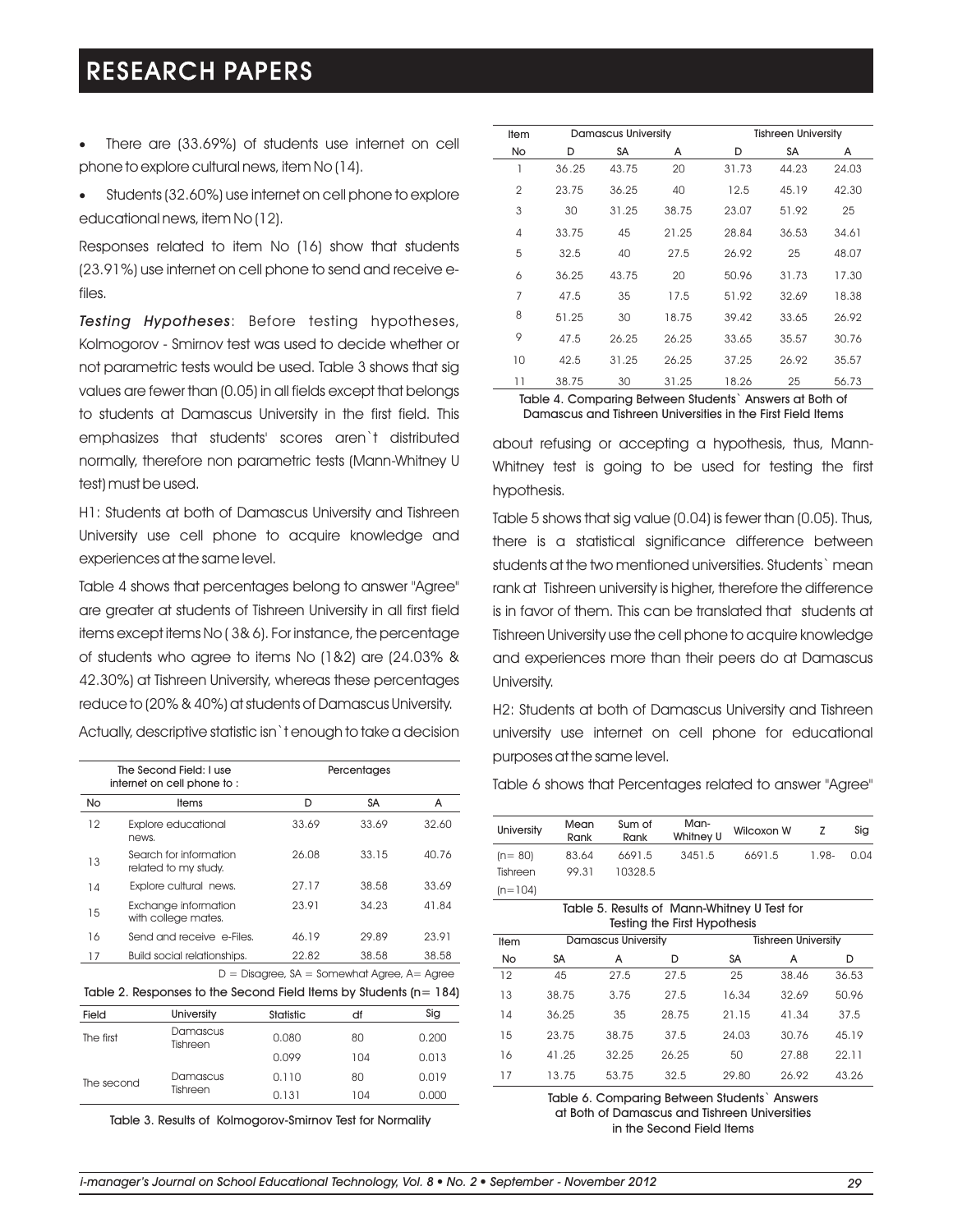- ·There are (33.69%) of students use internet on cell phone to explore cultural news, item No (14).
- Students (32.60%) use internet on cell phone to explore educational news, item No (12).

Responses related to item No (16) show that students (23.91%) use internet on cell phone to send and receive efiles.

*Testing Hypotheses*: Before testing hypotheses, Kolmogorov - Smirnov test was used to decide whether or not parametric tests would be used. Table 3 shows that sig values are fewer than (0.05) in all fields except that belongs to students at Damascus University in the first field. This emphasizes that students' scores aren`t distributed normally, therefore non parametric tests (Mann-Whitney U test) must be used.

H1: Students at both of Damascus University and Tishreen University use cell phone to acquire knowledge and experiences at the same level.

Table 4 shows that percentages belong to answer "Agree" are greater at students of Tishreen University in all first field items except items No ( 3& 6). For instance, the percentage of students who agree to items No (1&2) are (24.03% & 42.30%) at Tishreen University, whereas these percentages reduce to (20% & 40%) at students of Damascus University.

|           | The Second Field: I use<br>internet on cell phone to: |                                               | Percentages |       |
|-----------|-------------------------------------------------------|-----------------------------------------------|-------------|-------|
| <b>No</b> | <b>Items</b>                                          | D                                             | SA          | A     |
| 12        | <b>Explore educational</b><br>news.                   | 33.69                                         | 33.69       | 32.60 |
| 13        | Search for information<br>related to my study.        | 26.08                                         | 33.15       | 40.76 |
| 14        | Explore cultural news.                                | 27.17                                         | 38.58       | 33.69 |
| 15        | Exchange information<br>with college mates.           | 23.91                                         | 34.23       | 41.84 |
| 16        | Send and receive e-Files.                             | 46.19                                         | 29.89       | 23.91 |
| 17        | Build social relationships.                           | 22.82                                         | 38.58       | 38.58 |
|           |                                                       | $D =$ Disagree, SA = Somewhat Agree, A= Agree |             |       |

Actually, descriptive statistic isn`t enough to take a decision

Table 2. Responses to the Second Field Items by Students (n= 184)

| <b>Field</b> | <b>University</b>    | Statistic | df  | Sig   |
|--------------|----------------------|-----------|-----|-------|
| The first    | Damascus<br>Tishreen | 0.080     | 80  | 0.200 |
|              |                      | 0.099     | 104 | 0.013 |
| The second   | Damascus             | 0.110     | 80  | 0.019 |
|              | Tishreen             | 0.131     | 104 | 0.000 |

Table 3. Results of Kolmogorov-Smirnov Test for Normality

| Item           | <b>Damascus University</b> |       |       | <b>Tishreen University</b> |           |       |  |
|----------------|----------------------------|-------|-------|----------------------------|-----------|-------|--|
| No             | D                          | SA    | A     | D                          | <b>SA</b> | A     |  |
| 1              | 36.25                      | 43.75 | 20    | 31.73                      | 44.23     | 24.03 |  |
| $\overline{2}$ | 23.75                      | 36.25 | 40    | 12.5                       | 45.19     | 42.30 |  |
| 3              | 30                         | 31.25 | 38.75 | 23.07                      | 51.92     | 25    |  |
| 4              | 33.75                      | 45    | 21.25 | 28.84                      | 36.53     | 34.61 |  |
| 5              | 32.5                       | 40    | 27.5  | 26.92                      | 25        | 48.07 |  |
| 6              | 36.25                      | 43.75 | 20    | 50.96                      | 31.73     | 17.30 |  |
| 7              | 47.5                       | 35    | 17.5  | 51.92                      | 32.69     | 18.38 |  |
| 8              | 51.25                      | 30    | 18.75 | 39.42                      | 33.65     | 26.92 |  |
| 9              | 47.5                       | 26.25 | 26.25 | 33.65                      | 35.57     | 30.76 |  |
| 10             | 42.5                       | 31.25 | 26.25 | 37.25                      | 26.92     | 35.57 |  |
| 11             | 38.75                      | 30    | 31.25 | 18.26                      | 25        | 56.73 |  |

Table 4. Comparing Between Students` Answers at Both of Damascus and Tishreen Universities in the First Field Items

about refusing or accepting a hypothesis, thus, Mann-Whitney test is going to be used for testing the first hypothesis.

Table 5 shows that sig value (0.04) is fewer than (0.05). Thus, there is a statistical significance difference between students at the two mentioned universities. Students` mean rank at Tishreen university is higher, therefore the difference is in favor of them. This can be translated that students at Tishreen University use the cell phone to acquire knowledge and experiences more than their peers do at Damascus University.

H2: Students at both of Damascus University and Tishreen university use internet on cell phone for educational purposes at the same level.

Table 6 shows that Percentages related to answer "Agree"

| <b>University</b> | Mean<br>Rank | Sum of<br>Rank | Man-<br>Whitney U | Wilcoxon W |       | Sia  |
|-------------------|--------------|----------------|-------------------|------------|-------|------|
| $(n=80)$          | 83.64        | 6691.5         | 3451.5            | 6691.5     | 1.98- | 0.04 |
| Tishreen          | 99.31        | 10328.5        |                   |            |       |      |
| $(n=104)$         |              |                |                   |            |       |      |

| Table 5. Results of Mann-Whitney U Test for<br>Testing the First Hypothesis |       |                            |       |           |                            |       |  |  |
|-----------------------------------------------------------------------------|-------|----------------------------|-------|-----------|----------------------------|-------|--|--|
| Item                                                                        |       | <b>Damascus University</b> |       |           | <b>Tishreen University</b> |       |  |  |
| No                                                                          | SA    | А                          | D     | <b>SA</b> | A                          | D     |  |  |
| 12                                                                          | 45    | 27.5                       | 27.5  | 25        | 38.46                      | 36.53 |  |  |
| 13                                                                          | 38.75 | 3.75                       | 27.5  | 16.34     | 32.69                      | 50.96 |  |  |
| 14                                                                          | 36.25 | 35                         | 28.75 | 21.15     | 41.34                      | 37.5  |  |  |
| 15                                                                          | 23.75 | 38.75                      | 37.5  | 24.03     | 30.76                      | 45.19 |  |  |
| 16                                                                          | 41.25 | 32.25                      | 26.25 | 50        | 27.88                      | 22.11 |  |  |
| 17                                                                          | 13.75 | 53.75                      | 32.5  | 29.80     | 26.92                      | 43.26 |  |  |

Table 6. Comparing Between Students` Answers at Both of Damascus and Tishreen Universities in the Second Field Items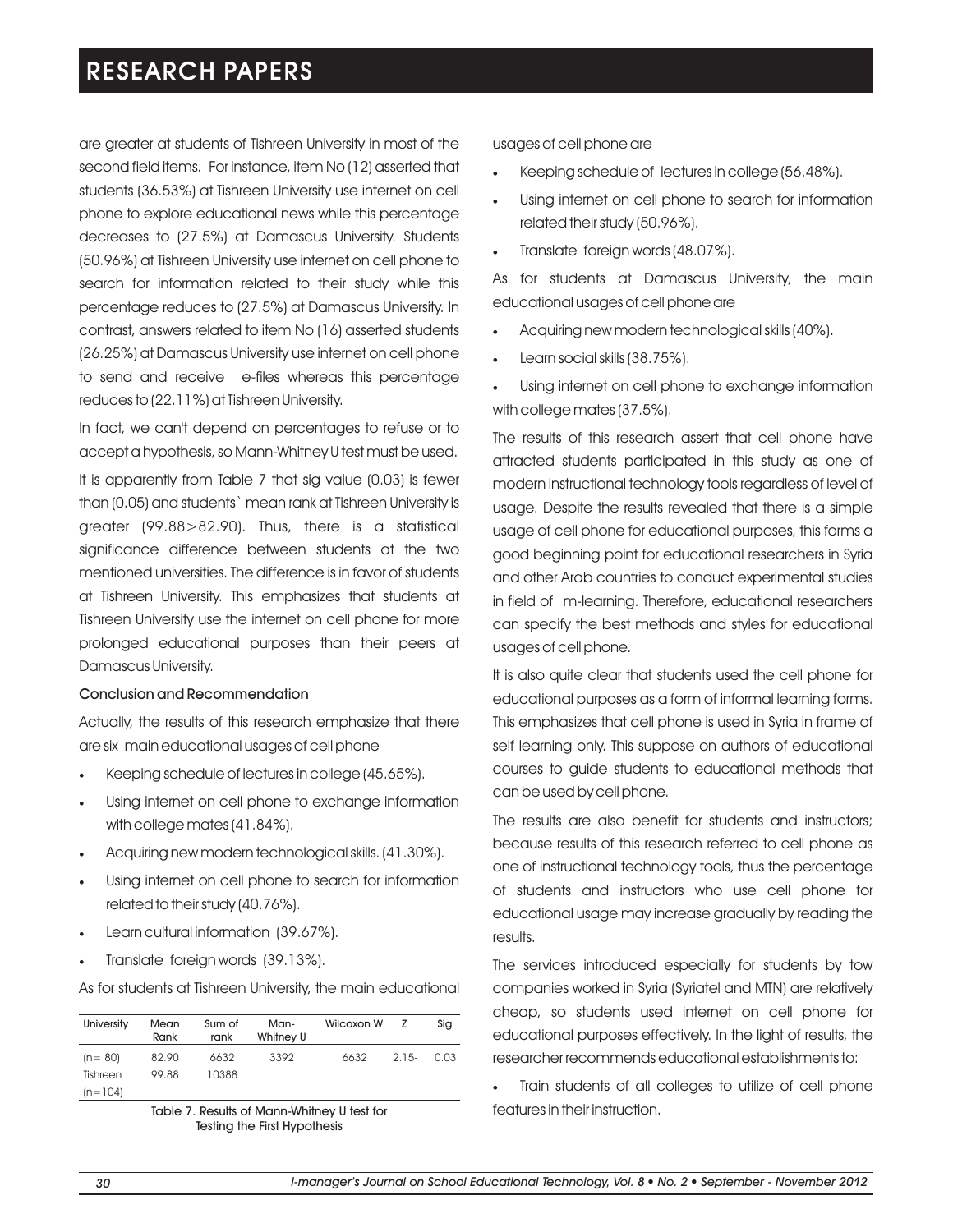are greater at students of Tishreen University in most of the second field items. For instance, item No (12) asserted that students (36.53%) at Tishreen University use internet on cell phone to explore educational news while this percentage decreases to (27.5%) at Damascus University. Students (50.96%) at Tishreen University use internet on cell phone to search for information related to their study while this percentage reduces to (27.5%) at Damascus University. In contrast, answers related to item No (16) asserted students (26.25%) at Damascus University use internet on cell phone to send and receive e-files whereas this percentage reduces to (22.11%) at Tishreen University.

In fact, we can't depend on percentages to refuse or to accept a hypothesis, so Mann-Whitney U test must be used.

It is apparently from Table 7 that sig value (0.03) is fewer than (0.05) and students` mean rank at Tishreen University is greater (99.88>82.90). Thus, there is a statistical significance difference between students at the two mentioned universities. The difference is in favor of students at Tishreen University. This emphasizes that students at Tishreen University use the internet on cell phone for more prolonged educational purposes than their peers at Damascus University.

## Conclusion and Recommendation

Actually, the results of this research emphasize that there are six main educational usages of cell phone

- Keeping schedule of lectures in college (45.65%).
- Using internet on cell phone to exchange information with college mates (41.84%).
- Acquiring new modern technological skills. (41.30%).
- Using internet on cell phone to search for information related to their study (40.76%).
- Learn cultural information (39.67%).
- ·Translate foreign words (39.13%).

As for students at Tishreen University, the main educational

| University | Mean<br>Rank | Sum of<br>rank | Man-<br>Whitney U | Wilcoxon W | 7       | Sig  |
|------------|--------------|----------------|-------------------|------------|---------|------|
| $(n = 80)$ | 82.90        | 6632           | 3392              | 6632       | $2.15-$ | 0.03 |
| Tishreen   | 99.88        | 10388          |                   |            |         |      |
| $(n=104)$  |              |                |                   |            |         |      |

Table 7. Results of Mann-Whitney U test for Testing the First Hypothesis

usages of cell phone are

- Keeping schedule of lectures in college (56.48%).
- Using internet on cell phone to search for information related their study (50.96%).
- Translate foreign words (48.07%).

As for students at Damascus University, the main educational usages of cell phone are

- Acquiring new modern technological skills (40%).
- Learn social skills (38.75%).

Using internet on cell phone to exchange information with college mates (37.5%).

The results of this research assert that cell phone have attracted students participated in this study as one of modern instructional technology tools regardless of level of usage. Despite the results revealed that there is a simple usage of cell phone for educational purposes, this forms a good beginning point for educational researchers in Syria and other Arab countries to conduct experimental studies in field of m-learning. Therefore, educational researchers can specify the best methods and styles for educational usages of cell phone.

It is also quite clear that students used the cell phone for educational purposes as a form of informal learning forms. This emphasizes that cell phone is used in Syria in frame of self learning only. This suppose on authors of educational courses to guide students to educational methods that can be used by cell phone.

The results are also benefit for students and instructors; because results of this research referred to cell phone as one of instructional technology tools, thus the percentage of students and instructors who use cell phone for educational usage may increase gradually by reading the results.

The services introduced especially for students by tow companies worked in Syria (Syriatel and MTN) are relatively cheap, so students used internet on cell phone for educational purposes effectively. In the light of results, the researcher recommends educational establishments to:

Train students of all colleges to utilize of cell phone features in their instruction.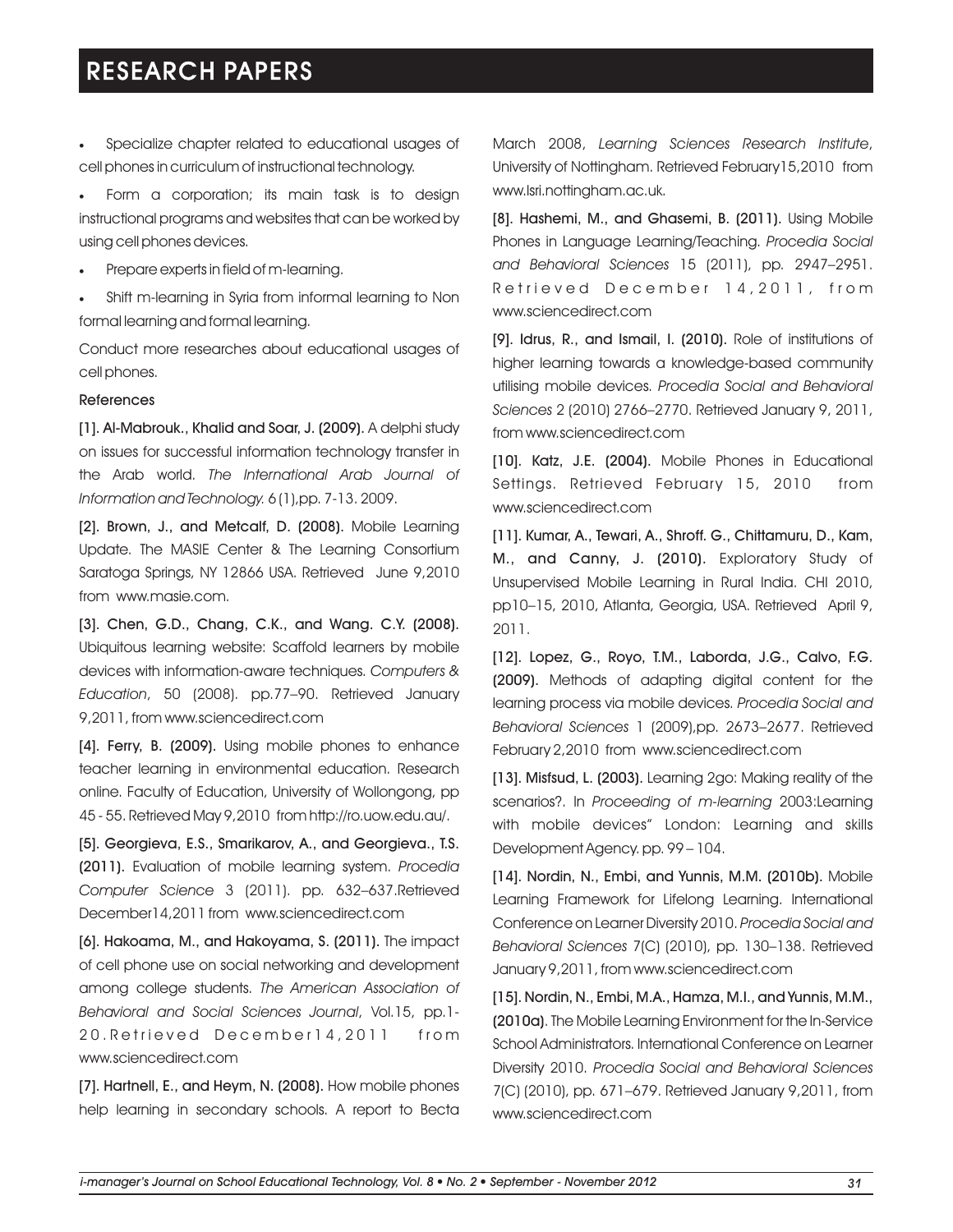· Specialize chapter related to educational usages of March 2008, *Learning Sciences Research Institute*, cell phones in curriculum of instructional technology.

Form a corporation; its main task is to design instructional programs and websites that can be worked by using cell phones devices.

·Prepare experts in field of m-learning.

Shift m-learning in Syria from informal learning to Non formal learning and formal learning.

Conduct more researches about educational usages of cell phones.

### References

[1]. Al-Mabrouk., Khalid and Soar, J. (2009). A delphi study on issues for successful information technology transfer in the Arab world. *The International Arab Journal of Information and Technology.* 6 (1),pp. 7-13. 2009.

[2]. Brown, J., and Metcalf, D. (2008). Mobile Learning Update. The MASIE Center & The Learning Consortium Saratoga Springs, NY 12866 USA. Retrieved June 9,2010 from www.masie.com.

[3]. Chen, G.D., Chang, C.K., and Wang. C.Y. (2008). Ubiquitous learning website: Scaffold learners by mobile devices with information-aware techniques. *Computers & Education*, 50 (2008). pp.77–90. Retrieved January 9,2011, from www.sciencedirect.com

[4]. Ferry, B. (2009). Using mobile phones to enhance teacher learning in environmental education. Research online. Faculty of Education, University of Wollongong, pp 45 - 55. Retrieved May 9,2010 from http://ro.uow.edu.au/.

[5]. Georgieva, E.S., Smarikarov, A., and Georgieva., T.S. (2011). Evaluation of mobile learning system. *Procedia Computer Science* 3 (2011). pp. 632–637.Retrieved December14,2011 from www.sciencedirect.com

[6]. Hakoama, M., and Hakoyama, S. (2011). The impact of cell phone use on social networking and development among college students. *The American Association of Behavioral and Social Sciences Journal*, Vol.15, pp.1- 20. Retrieved December14, 2011 from www.sciencedirect.com

[7]. Hartnell, E., and Heym, N. (2008). How mobile phones help learning in secondary schools. A report to Becta University of Nottingham. Retrieved February15,2010 from www.lsri.nottingham.ac.uk.

[8]. Hashemi, M., and Ghasemi, B. (2011). Using Mobile Phones in Language Learning/Teaching. *Procedia Social and Behavioral Sciences* 15 (2011), pp. 2947–2951. Retrieved December 14,2011, from www.sciencedirect.com

[9]. Idrus, R., and Ismail, I. (2010). Role of institutions of higher learning towards a knowledge-based community utilising mobile devices. *Procedia Social and Behavioral Sciences* 2 (2010) 2766–2770. Retrieved January 9, 2011, from www.sciencedirect.com

[10]. Katz, J.E. (2004). Mobile Phones in Educational Settings. Retrieved February 15, 2010 from www.sciencedirect.com

[11]. Kumar, A., Tewari, A., Shroff. G., Chittamuru, D., Kam, M., and Canny, J. (2010). Exploratory Study of Unsupervised Mobile Learning in Rural India. CHI 2010, pp10–15, 2010, Atlanta, Georgia, USA. Retrieved April 9, 2011.

[12]. Lopez, G., Royo, T.M., Laborda, J.G., Calvo, F.G. (2009). Methods of adapting digital content for the learning process via mobile devices. *Procedia Social and Behavioral Sciences* 1 (2009),pp. 2673–2677. Retrieved February 2,2010 from www.sciencedirect.com

[13]. Misfsud, L. (2003). Learning 2go: Making reality of the scenarios?. In *Proceeding of m-learning* 2003:Learning with mobile devices" London: Learning and skills Development Agency. pp. 99 – 104.

[14]. Nordin, N., Embi, and Yunnis, M.M. (2010b). Mobile Learning Framework for Lifelong Learning. International Conference on Learner Diversity 2010. *Procedia Social and Behavioral Sciences* 7(C) (2010), pp. 130–138. Retrieved January 9,2011, from www.sciencedirect.com

[15]. Nordin, N., Embi, M.A., Hamza, M.I., and Yunnis, M.M., (2010a). The Mobile Learning Environment for the In-Service School Administrators. International Conference on Learner Diversity 2010. *Procedia Social and Behavioral Sciences* 7(C) (2010), pp. 671–679. Retrieved January 9,2011, from www.sciencedirect.com